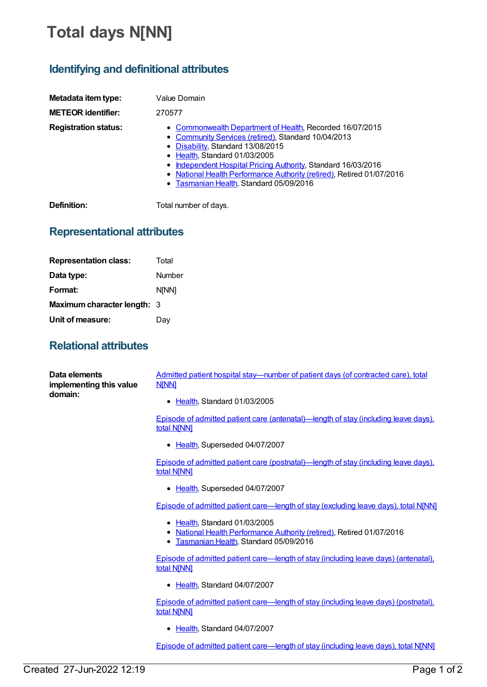## **Total days N[NN]**

## **Identifying and definitional attributes**

| Metadata item type:         | Value Domain                                                                                                                                                                                                                                                                                                                                                               |
|-----------------------------|----------------------------------------------------------------------------------------------------------------------------------------------------------------------------------------------------------------------------------------------------------------------------------------------------------------------------------------------------------------------------|
| <b>METEOR identifier:</b>   | 270577                                                                                                                                                                                                                                                                                                                                                                     |
| <b>Registration status:</b> | • Commonwealth Department of Health, Recorded 16/07/2015<br>• Community Services (retired), Standard 10/04/2013<br>• Disability, Standard 13/08/2015<br>• Health, Standard 01/03/2005<br>• Independent Hospital Pricing Authority, Standard 16/03/2016<br>• National Health Performance Authority (retired), Retired 01/07/2016<br>• Tasmanian Health, Standard 05/09/2016 |

**Definition:** Total number of days.

## **Representational attributes**

| <b>Representation class:</b> | Total        |
|------------------------------|--------------|
| Data type:                   | Number       |
| Format:                      | <b>NINN1</b> |
| Maximum character length: 3  |              |
| Unit of measure:             | Dav          |

## **Relational attributes**

| Data elements<br>implementing this value<br>domain: | Admitted patient hospital stay-number of patient days (of contracted care), total<br><b>NINNI</b>                                                            |
|-----------------------------------------------------|--------------------------------------------------------------------------------------------------------------------------------------------------------------|
|                                                     | • Health, Standard 01/03/2005                                                                                                                                |
|                                                     | Episode of admitted patient care (antenatal)—length of stay (including leave days).<br>total N[NN]                                                           |
|                                                     | • Health, Superseded 04/07/2007                                                                                                                              |
|                                                     | Episode of admitted patient care (postnatal)—length of stay (including leave days).<br>total N[NN]                                                           |
|                                                     | Health, Superseded 04/07/2007<br>٠                                                                                                                           |
|                                                     | Episode of admitted patient care—length of stay (excluding leave days), total NJNN]                                                                          |
|                                                     | • Health, Standard 01/03/2005<br>• National Health Performance Authority (retired), Retired 01/07/2016<br>Tasmanian Health, Standard 05/09/2016<br>$\bullet$ |
|                                                     | <b>Episode of admitted patient care—length of stay (including leave days) (antenatal),</b><br>total N[NN]                                                    |
|                                                     | • Health, Standard 04/07/2007                                                                                                                                |
|                                                     | Episode of admitted patient care—length of stay (including leave days) (postnatal).<br>total N[NN]                                                           |
|                                                     | • Health Standard 04/07/2007                                                                                                                                 |
|                                                     | Episode of admitted patient care—length of stay (including leave days), total NJNN]                                                                          |